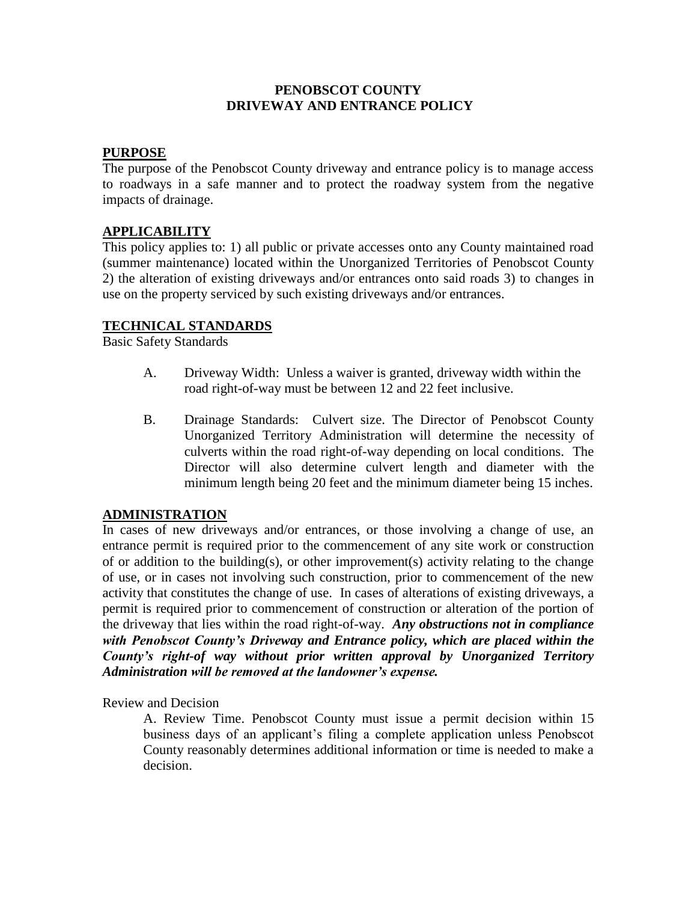## **PENOBSCOT COUNTY DRIVEWAY AND ENTRANCE POLICY**

## **PURPOSE**

The purpose of the Penobscot County driveway and entrance policy is to manage access to roadways in a safe manner and to protect the roadway system from the negative impacts of drainage.

# **APPLICABILITY**

This policy applies to: 1) all public or private accesses onto any County maintained road (summer maintenance) located within the Unorganized Territories of Penobscot County 2) the alteration of existing driveways and/or entrances onto said roads 3) to changes in use on the property serviced by such existing driveways and/or entrances.

### **TECHNICAL STANDARDS**

Basic Safety Standards

- A. Driveway Width: Unless a waiver is granted, driveway width within the road right-of-way must be between 12 and 22 feet inclusive.
- B. Drainage Standards: Culvert size. The Director of Penobscot County Unorganized Territory Administration will determine the necessity of culverts within the road right-of-way depending on local conditions. The Director will also determine culvert length and diameter with the minimum length being 20 feet and the minimum diameter being 15 inches.

### **ADMINISTRATION**

In cases of new driveways and/or entrances, or those involving a change of use, an entrance permit is required prior to the commencement of any site work or construction of or addition to the building(s), or other improvement(s) activity relating to the change of use, or in cases not involving such construction, prior to commencement of the new activity that constitutes the change of use. In cases of alterations of existing driveways, a permit is required prior to commencement of construction or alteration of the portion of the driveway that lies within the road right-of-way. *Any obstructions not in compliance with Penobscot County's Driveway and Entrance policy, which are placed within the County's right-of way without prior written approval by Unorganized Territory Administration will be removed at the landowner's expense.*

Review and Decision

A. Review Time. Penobscot County must issue a permit decision within 15 business days of an applicant's filing a complete application unless Penobscot County reasonably determines additional information or time is needed to make a decision.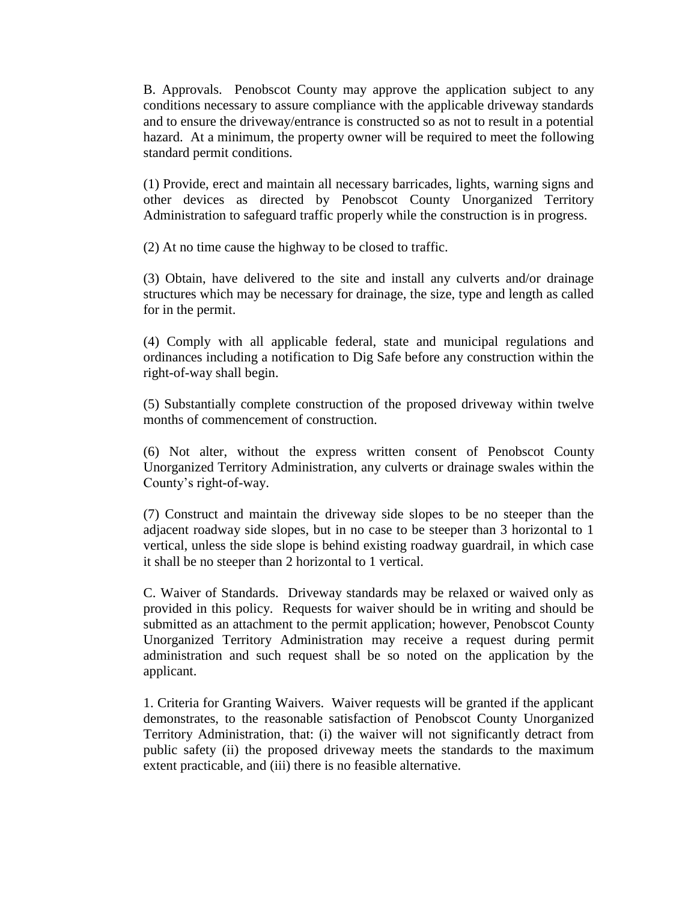B. Approvals. Penobscot County may approve the application subject to any conditions necessary to assure compliance with the applicable driveway standards and to ensure the driveway/entrance is constructed so as not to result in a potential hazard. At a minimum, the property owner will be required to meet the following standard permit conditions.

(1) Provide, erect and maintain all necessary barricades, lights, warning signs and other devices as directed by Penobscot County Unorganized Territory Administration to safeguard traffic properly while the construction is in progress.

(2) At no time cause the highway to be closed to traffic.

(3) Obtain, have delivered to the site and install any culverts and/or drainage structures which may be necessary for drainage, the size, type and length as called for in the permit.

(4) Comply with all applicable federal, state and municipal regulations and ordinances including a notification to Dig Safe before any construction within the right-of-way shall begin.

(5) Substantially complete construction of the proposed driveway within twelve months of commencement of construction.

(6) Not alter, without the express written consent of Penobscot County Unorganized Territory Administration, any culverts or drainage swales within the County's right-of-way.

(7) Construct and maintain the driveway side slopes to be no steeper than the adjacent roadway side slopes, but in no case to be steeper than 3 horizontal to 1 vertical, unless the side slope is behind existing roadway guardrail, in which case it shall be no steeper than 2 horizontal to 1 vertical.

C. Waiver of Standards. Driveway standards may be relaxed or waived only as provided in this policy. Requests for waiver should be in writing and should be submitted as an attachment to the permit application; however, Penobscot County Unorganized Territory Administration may receive a request during permit administration and such request shall be so noted on the application by the applicant.

1. Criteria for Granting Waivers. Waiver requests will be granted if the applicant demonstrates, to the reasonable satisfaction of Penobscot County Unorganized Territory Administration, that: (i) the waiver will not significantly detract from public safety (ii) the proposed driveway meets the standards to the maximum extent practicable, and (iii) there is no feasible alternative.